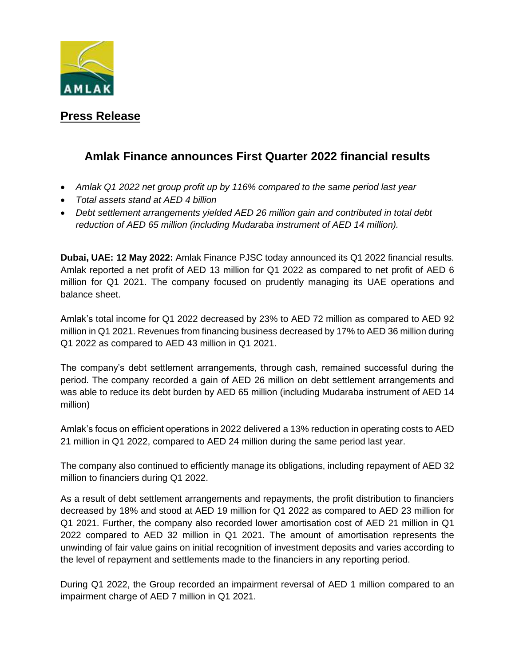

## **Press Release**

# **Amlak Finance announces First Quarter 2022 financial results**

- *Amlak Q1 2022 net group profit up by 116% compared to the same period last year*
- *Total assets stand at AED 4 billion*
- *Debt settlement arrangements yielded AED 26 million gain and contributed in total debt reduction of AED 65 million (including Mudaraba instrument of AED 14 million).*

**Dubai, UAE: 12 May 2022:** Amlak Finance PJSC today announced its Q1 2022 financial results. Amlak reported a net profit of AED 13 million for Q1 2022 as compared to net profit of AED 6 million for Q1 2021. The company focused on prudently managing its UAE operations and balance sheet.

Amlak's total income for Q1 2022 decreased by 23% to AED 72 million as compared to AED 92 million in Q1 2021. Revenues from financing business decreased by 17% to AED 36 million during Q1 2022 as compared to AED 43 million in Q1 2021.

The company's debt settlement arrangements, through cash, remained successful during the period. The company recorded a gain of AED 26 million on debt settlement arrangements and was able to reduce its debt burden by AED 65 million (including Mudaraba instrument of AED 14 million)

Amlak's focus on efficient operations in 2022 delivered a 13% reduction in operating costs to AED 21 million in Q1 2022, compared to AED 24 million during the same period last year.

The company also continued to efficiently manage its obligations, including repayment of AED 32 million to financiers during Q1 2022.

As a result of debt settlement arrangements and repayments, the profit distribution to financiers decreased by 18% and stood at AED 19 million for Q1 2022 as compared to AED 23 million for Q1 2021. Further, the company also recorded lower amortisation cost of AED 21 million in Q1 2022 compared to AED 32 million in Q1 2021. The amount of amortisation represents the unwinding of fair value gains on initial recognition of investment deposits and varies according to the level of repayment and settlements made to the financiers in any reporting period.

During Q1 2022, the Group recorded an impairment reversal of AED 1 million compared to an impairment charge of AED 7 million in Q1 2021.